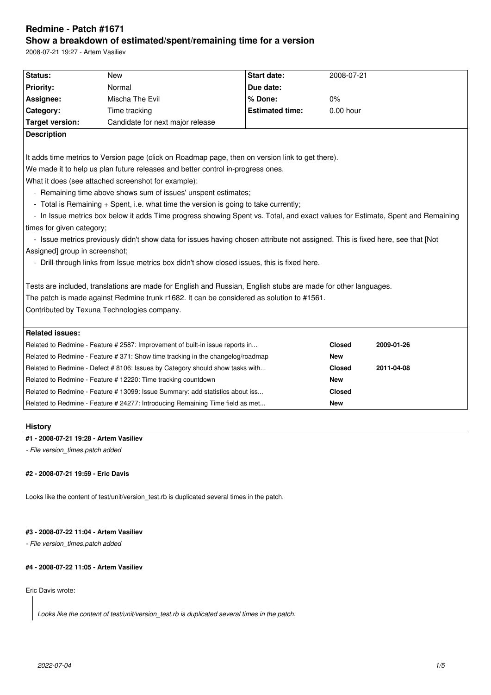# **Redmine - Patch #1671 Show a breakdown of estimated/spent/remaining time for a version**

2008-07-21 19:27 - Artem Vasiliev

| Status:                                                                                                                        | <b>New</b>                                                                                                     | <b>Start date:</b>     | 2008-07-21    |            |  |  |
|--------------------------------------------------------------------------------------------------------------------------------|----------------------------------------------------------------------------------------------------------------|------------------------|---------------|------------|--|--|
| <b>Priority:</b>                                                                                                               | Normal                                                                                                         | Due date:              |               |            |  |  |
| Assignee:                                                                                                                      | Mischa The Evil                                                                                                | % Done:                | 0%            |            |  |  |
| Category:                                                                                                                      | Time tracking                                                                                                  | <b>Estimated time:</b> | $0.00$ hour   |            |  |  |
| <b>Target version:</b>                                                                                                         | Candidate for next major release                                                                               |                        |               |            |  |  |
| <b>Description</b>                                                                                                             |                                                                                                                |                        |               |            |  |  |
|                                                                                                                                |                                                                                                                |                        |               |            |  |  |
|                                                                                                                                | It adds time metrics to Version page (click on Roadmap page, then on version link to get there).               |                        |               |            |  |  |
| We made it to help us plan future releases and better control in-progress ones.                                                |                                                                                                                |                        |               |            |  |  |
| What it does (see attached screenshot for example):                                                                            |                                                                                                                |                        |               |            |  |  |
| - Remaining time above shows sum of issues' unspent estimates;                                                                 |                                                                                                                |                        |               |            |  |  |
| - Total is Remaining + Spent, i.e. what time the version is going to take currently;                                           |                                                                                                                |                        |               |            |  |  |
| - In Issue metrics box below it adds Time progress showing Spent vs. Total, and exact values for Estimate, Spent and Remaining |                                                                                                                |                        |               |            |  |  |
| times for given category;                                                                                                      |                                                                                                                |                        |               |            |  |  |
| - Issue metrics previously didn't show data for issues having chosen attribute not assigned. This is fixed here, see that [Not |                                                                                                                |                        |               |            |  |  |
| Assigned] group in screenshot;                                                                                                 |                                                                                                                |                        |               |            |  |  |
| - Drill-through links from Issue metrics box didn't show closed issues, this is fixed here.                                    |                                                                                                                |                        |               |            |  |  |
|                                                                                                                                |                                                                                                                |                        |               |            |  |  |
|                                                                                                                                | Tests are included, translations are made for English and Russian, English stubs are made for other languages. |                        |               |            |  |  |
| The patch is made against Redmine trunk r1682. It can be considered as solution to #1561.                                      |                                                                                                                |                        |               |            |  |  |
| Contributed by Texuna Technologies company.                                                                                    |                                                                                                                |                        |               |            |  |  |
|                                                                                                                                |                                                                                                                |                        |               |            |  |  |
| <b>Related issues:</b>                                                                                                         |                                                                                                                |                        |               |            |  |  |
|                                                                                                                                | Related to Redmine - Feature # 2587: Improvement of built-in issue reports in                                  |                        | <b>Closed</b> | 2009-01-26 |  |  |
|                                                                                                                                | Related to Redmine - Feature # 371: Show time tracking in the changelog/roadmap                                |                        | <b>New</b>    |            |  |  |
|                                                                                                                                | Related to Redmine - Defect # 8106: Issues by Category should show tasks with                                  |                        | <b>Closed</b> | 2011-04-08 |  |  |
|                                                                                                                                | Related to Redmine - Feature # 12220: Time tracking countdown                                                  |                        | <b>New</b>    |            |  |  |
|                                                                                                                                | Related to Redmine - Feature # 13099: Issue Summary: add statistics about iss                                  |                        | <b>Closed</b> |            |  |  |
|                                                                                                                                | Related to Redmine - Feature # 24277: Introducing Remaining Time field as met                                  |                        | <b>New</b>    |            |  |  |
|                                                                                                                                |                                                                                                                |                        |               |            |  |  |

# **History**

### **#1 - 2008-07-21 19:28 - Artem Vasiliev**

*- File version\_times.patch added*

# **#2 - 2008-07-21 19:59 - Eric Davis**

Looks like the content of test/unit/version\_test.rb is duplicated several times in the patch.

# **#3 - 2008-07-22 11:04 - Artem Vasiliev**

*- File version\_times.patch added*

# **#4 - 2008-07-22 11:05 - Artem Vasiliev**

# Eric Davis wrote:

*Looks like the content of test/unit/version\_test.rb is duplicated several times in the patch.*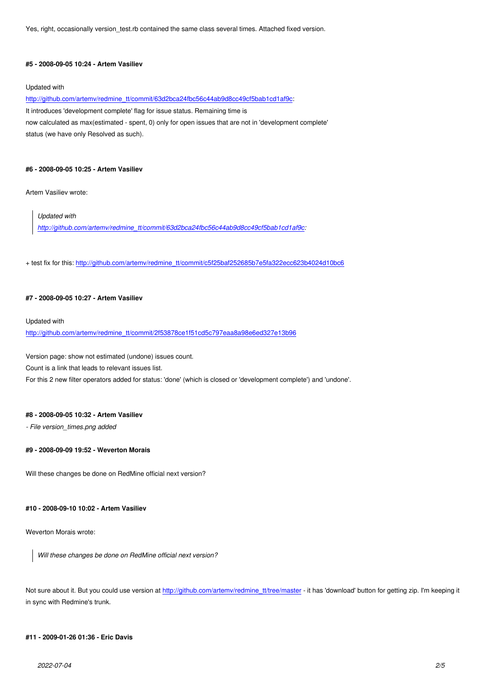# **#5 - 2008-09-05 10:24 - Artem Vasiliev**

#### Updated with

http://github.com/artemv/redmine\_tt/commit/63d2bca24fbc56c44ab9d8cc49cf5bab1cd1af9c:

It introduces 'development complete' flag for issue status. Remaining time is now calculated as max(estimated - spent, 0) only for open issues that are not in 'development complete' [status \(we have only Resolved as such\).](http://github.com/artemv/redmine_tt/commit/63d2bca24fbc56c44ab9d8cc49cf5bab1cd1af9c)

#### **#6 - 2008-09-05 10:25 - Artem Vasiliev**

Artem Vasiliev wrote:

*Updated with* 

*http://github.com/artemv/redmine\_tt/commit/63d2bca24fbc56c44ab9d8cc49cf5bab1cd1af9c:*

+ te[st fix for this: http://github.com/artemv/redmine\\_tt/commit/c5f25baf252685b7e5fa322ecc623b](http://github.com/artemv/redmine_tt/commit/63d2bca24fbc56c44ab9d8cc49cf5bab1cd1af9c)4024d10bc6

#### **#7 - 2008-09-05 [10:27 - Artem Vasiliev](http://github.com/artemv/redmine_tt/commit/c5f25baf252685b7e5fa322ecc623b4024d10bc6)**

Updated with

http://github.com/artemv/redmine\_tt/commit/2f53878ce1f51cd5c797eaa8a98e6ed327e13b96

Version page: show not estimated (undone) issues count.

[Count is a link that leads to relevant issues list.](http://github.com/artemv/redmine_tt/commit/2f53878ce1f51cd5c797eaa8a98e6ed327e13b96)

For this 2 new filter operators added for status: 'done' (which is closed or 'development complete') and 'undone'.

#### **#8 - 2008-09-05 10:32 - Artem Vasiliev**

*- File version\_times.png added*

# **#9 - 2008-09-09 19:52 - Weverton Morais**

Will these changes be done on RedMine official next version?

# **#10 - 2008-09-10 10:02 - Artem Vasiliev**

Weverton Morais wrote:

*Will these changes be done on RedMine official next version?*

Not sure about it. But you could use version at http://github.com/artemv/redmine\_tt/tree/master - it has 'download' button for getting zip. I'm keeping it in sync with Redmine's trunk.

### **#11 - 2009-01-26 01:36 - Eric Davis**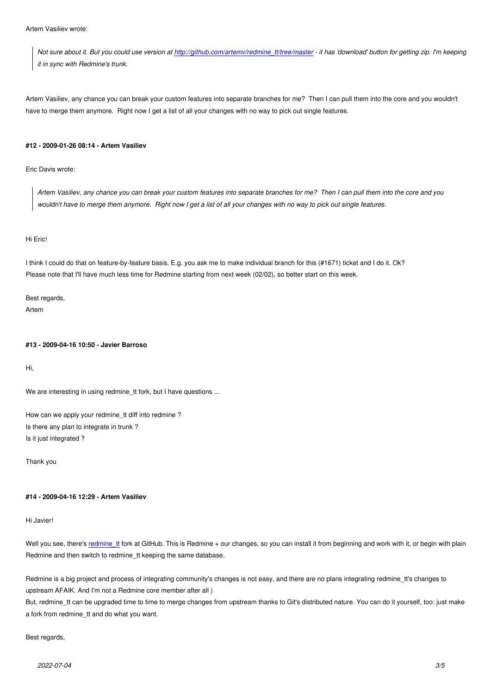*Not sure about it. But you could use version at http://github.com/artemv/redmine\_tt/tree/master - it has 'download' button for getting zip. I'm keeping it in sync with Redmine's trunk.*

Artem Vasiliev, any chance you can break your cu[stom features into separate branches for me? Th](http://github.com/artemv/redmine_tt/tree/master)en I can pull them into the core and you wouldn't have to merge them anymore. Right now I get a list of all your changes with no way to pick out single features.

### **#12 - 2009-01-26 08:14 - Artem Vasiliev**

Eric Davis wrote:

*Artem Vasiliev, any chance you can break your custom features into separate branches for me? Then I can pull them into the core and you wouldn't have to merge them anymore. Right now I get a list of all your changes with no way to pick out single features.*

#### Hi Eric!

I think I could do that on feature-by-feature basis. E.g. you ask me to make individual branch for this (#1671) ticket and I do it. Ok? Please note that I'll have much less time for Redmine starting from next week (02/02), so better start on this week.

Best regards, Artem

### **#13 - 2009-04-16 10:50 - Javier Barroso**

Hi,

We are interesting in using redmine\_tt fork, but I have questions ...

How can we apply your redmine\_tt diff into redmine ? Is there any plan to integrate in trunk ? Is it just integrated ?

Thank you

#### **#14 - 2009-04-16 12:29 - Artem Vasiliev**

#### Hi Javier!

Well you see, there's redmine\_tt fork at GitHub. This is Redmine + our changes, so you can install it from beginning and work with it, or begin with plain Redmine and then switch to redmine\_tt keeping the same database.

Redmine is a big proj[ect and pro](http://github.com/artemv/redmine_tt/)cess of integrating community's changes is not easy, and there are no plans integrating redmine\_tt's changes to upstream AFAIK. And I'm not a Redmine core member after all )

But, redmine\_tt can be upgraded time to time to merge changes from upstream thanks to Git's distributed nature. You can do it yourself, too: just make a fork from redmine\_tt and do what you want.

#### Best regards,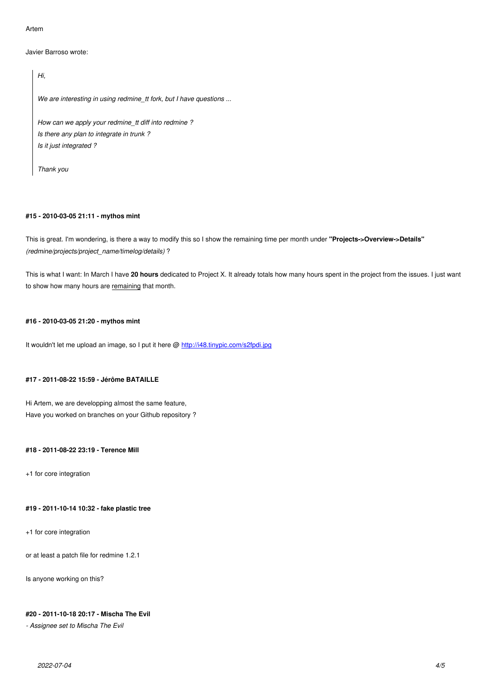```
Javier Barroso wrote:
```
*Hi, We are interesting in using redmine\_tt fork, but I have questions ... How can we apply your redmine\_tt diff into redmine ? Is there any plan to integrate in trunk ? Is it just integrated ?*

*Thank you*

### **#15 - 2010-03-05 21:11 - mythos mint**

This is great. I'm wondering, is there a way to modify this so I show the remaining time per month under **"Projects->Overview->Details"** *(redmine/projects/project\_name/timelog/details)* ?

This is what I want: In March I have **20 hours** dedicated to Project X. It already totals how many hours spent in the project from the issues. I just want to show how many hours are remaining that month.

# **#16 - 2010-03-05 21:20 - mythos mint**

It wouldn't let me upload an image, so I put it here @ http://i48.tinypic.com/s2fpdi.jpg

### **#17 - 2011-08-22 15:59 - Jérôme BATAILLE**

Hi Artem, we are developping almost the same feature, Have you worked on branches on your Github repository ?

# **#18 - 2011-08-22 23:19 - Terence Mill**

+1 for core integration

#### **#19 - 2011-10-14 10:32 - fake plastic tree**

+1 for core integration

or at least a patch file for redmine 1.2.1

Is anyone working on this?

# **#20 - 2011-10-18 20:17 - Mischa The Evil**

*- Assignee set to Mischa The Evil*